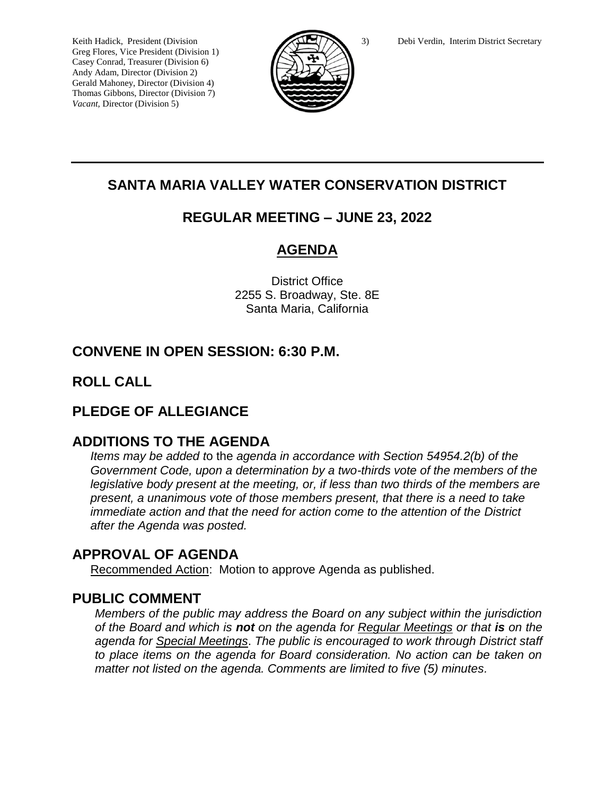Greg Flores, Vice President (Division 1) Casey Conrad, Treasurer (Division 6) Andy Adam, Director (Division 2) Gerald Mahoney, Director (Division 4) Thomas Gibbons, Director (Division 7) *Vacant,* Director (Division 5)



# **SANTA MARIA VALLEY WATER CONSERVATION DISTRICT**

## **REGULAR MEETING – JUNE 23, 2022**

# **AGENDA**

District Office 2255 S. Broadway, Ste. 8E Santa Maria, California

# **CONVENE IN OPEN SESSION: 6:30 P.M.**

## **ROLL CALL**

## **PLEDGE OF ALLEGIANCE**

## **ADDITIONS TO THE AGENDA**

*Items may be added t*o the *agenda in accordance with Section 54954.2(b) of the Government Code, upon a determination by a two-thirds vote of the members of the legislative body present at the meeting, or, if less than two thirds of the members are present, a unanimous vote of those members present, that there is a need to take immediate action and that the need for action come to the attention of the District after the Agenda was posted.* 

## **APPROVAL OF AGENDA**

Recommended Action: Motion to approve Agenda as published.

## **PUBLIC COMMENT**

*Members of the public may address the Board on any subject within the jurisdiction of the Board and which is not on the agenda for Regular Meetings or that is on the agenda for Special Meetings*. *The public is encouraged to work through District staff to place items on the agenda for Board consideration. No action can be taken on matter not listed on the agenda. Comments are limited to five (5) minutes.*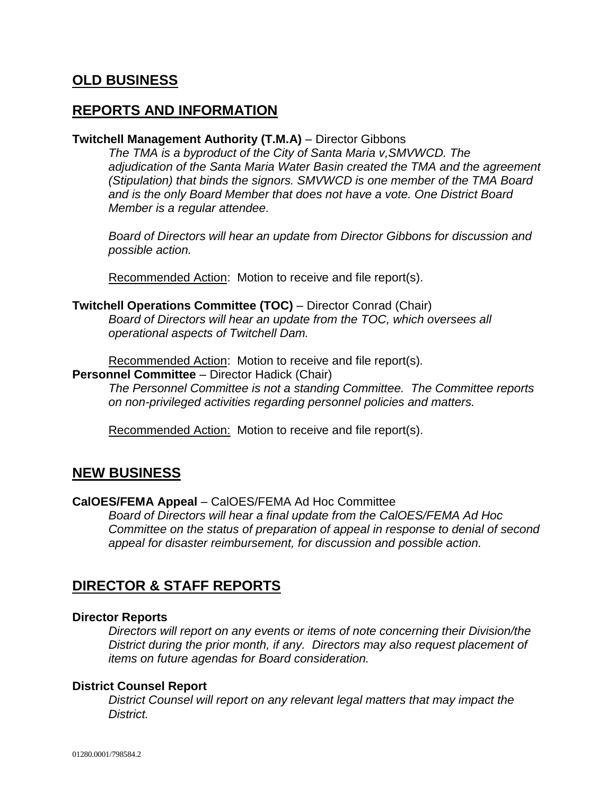## **OLD BUSINESS**

### **REPORTS AND INFORMATION**

### **Twitchell Management Authority (T.M.A)** – Director Gibbons

*The TMA is a byproduct of the City of Santa Maria v,SMVWCD. The adjudication of the Santa Maria Water Basin created the TMA and the agreement (Stipulation) that binds the signors. SMVWCD is one member of the TMA Board and is the only Board Member that does not have a vote. One District Board Member is a regular attendee.*

*Board of Directors will hear an update from Director Gibbons for discussion and possible action.*

Recommended Action: Motion to receive and file report(s).

### **Twitchell Operations Committee (TOC)** – Director Conrad (Chair)

*Board of Directors will hear an update from the TOC, which oversees all operational aspects of Twitchell Dam.*

Recommended Action: Motion to receive and file report(s)*.*

#### **Personnel Committee** – Director Hadick (Chair)

*The Personnel Committee is not a standing Committee. The Committee reports on non-privileged activities regarding personnel policies and matters.*

Recommended Action: Motion to receive and file report(s).

### **NEW BUSINESS**

#### **CalOES/FEMA Appeal** – CalOES/FEMA Ad Hoc Committee

*Board of Directors will hear a final update from the CalOES/FEMA Ad Hoc Committee on the status of preparation of appeal in response to denial of second appeal for disaster reimbursement, for discussion and possible action.*

### **DIRECTOR & STAFF REPORTS**

#### **Director Reports**

*Directors will report on any events or items of note concerning their Division/the District during the prior month, if any. Directors may also request placement of items on future agendas for Board consideration.*

### **District Counsel Report**

*District Counsel will report on any relevant legal matters that may impact the District.*